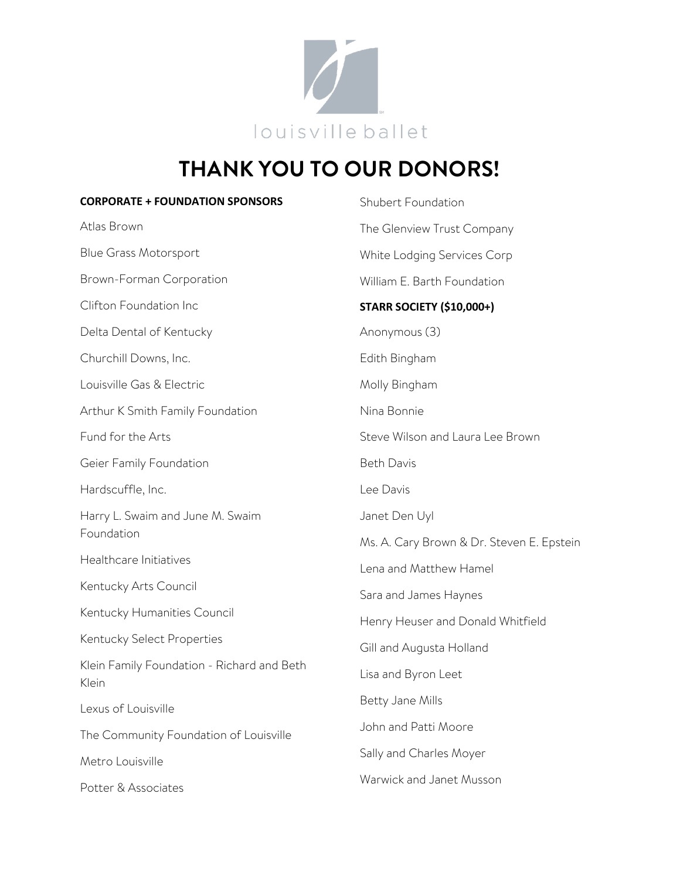

## **THANK YOU TO OUR DONORS!**

| <b>CORPORATE + FOUNDATION SPONSORS</b>              | Shubert Foundation                        |
|-----------------------------------------------------|-------------------------------------------|
| Atlas Brown                                         | The Glenview Trust Company                |
| <b>Blue Grass Motorsport</b>                        | White Lodging Services Corp               |
| Brown-Forman Corporation                            | William E. Barth Foundation               |
| Clifton Foundation Inc                              | <b>STARR SOCIETY (\$10,000+)</b>          |
| Delta Dental of Kentucky                            | Anonymous (3)                             |
| Churchill Downs, Inc.                               | Edith Bingham                             |
| Louisville Gas & Electric                           | Molly Bingham                             |
| Arthur K Smith Family Foundation                    | Nina Bonnie                               |
| Fund for the Arts                                   | Steve Wilson and Laura Lee Brown          |
| Geier Family Foundation                             | <b>Beth Davis</b>                         |
| Hardscuffle, Inc.                                   | Lee Davis                                 |
| Harry L. Swaim and June M. Swaim                    | Janet Den Uyl                             |
| Foundation                                          | Ms. A. Cary Brown & Dr. Steven E. Epstein |
| Healthcare Initiatives                              | Lena and Matthew Hamel                    |
| Kentucky Arts Council                               | Sara and James Haynes                     |
| Kentucky Humanities Council                         | Henry Heuser and Donald Whitfield         |
| Kentucky Select Properties                          | Gill and Augusta Holland                  |
| Klein Family Foundation - Richard and Beth<br>Klein | Lisa and Byron Leet                       |
| Lexus of Louisville                                 | Betty Jane Mills                          |
| The Community Foundation of Louisville              | John and Patti Moore                      |
| Metro Louisville                                    | Sally and Charles Moyer                   |
| Potter & Associates                                 | Warwick and Janet Musson                  |